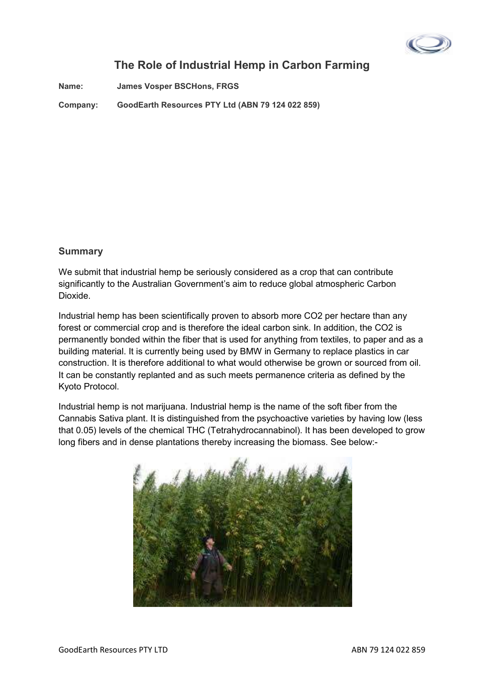

# **The Role of Industrial Hemp in Carbon Farming**

**Name: James Vosper BSCHons, FRGS** 

**Company: GoodEarth Resources PTY Ltd (ABN 79 124 022 859)** 

### **Summary**

We submit that industrial hemp be seriously considered as a crop that can contribute significantly to the Australian Government's aim to reduce global atmospheric Carbon Dioxide.

Industrial hemp has been scientifically proven to absorb more CO2 per hectare than any forest or commercial crop and is therefore the ideal carbon sink. In addition, the CO2 is permanently bonded within the fiber that is used for anything from textiles, to paper and as a building material. It is currently being used by BMW in Germany to replace plastics in car construction. It is therefore additional to what would otherwise be grown or sourced from oil. It can be constantly replanted and as such meets permanence criteria as defined by the Kyoto Protocol.

Industrial hemp is not marijuana. Industrial hemp is the name of the soft fiber from the Cannabis Sativa plant. It is distinguished from the psychoactive varieties by having low (less that 0.05) levels of the chemical THC (Tetrahydrocannabinol). It has been developed to grow long fibers and in dense plantations thereby increasing the biomass. See below:-

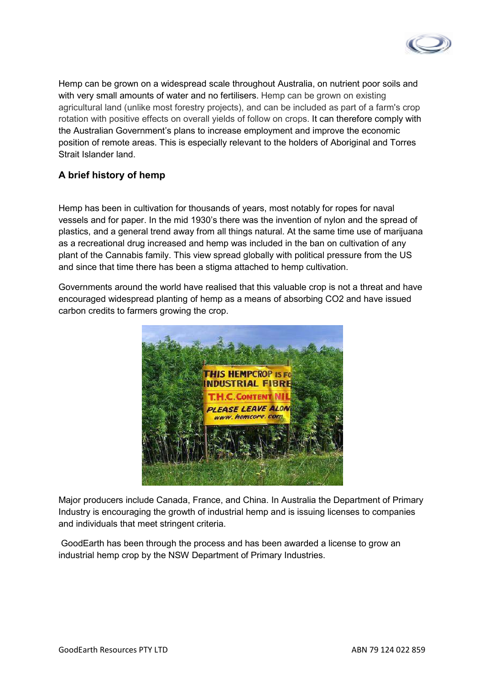

Hemp can be grown on a widespread scale throughout Australia, on nutrient poor soils and with very small amounts of water and no fertilisers. Hemp can be grown on existing agricultural land (unlike most forestry projects), and can be included as part of a farm's crop rotation with positive effects on overall yields of follow on crops. It can therefore comply with the Australian Government's plans to increase employment and improve the economic position of remote areas. This is especially relevant to the holders of Aboriginal and Torres Strait Islander land.

### **A brief history of hemp**

Hemp has been in cultivation for thousands of years, most notably for ropes for naval vessels and for paper. In the mid 1930's there was the invention of nylon and the spread of plastics, and a general trend away from all things natural. At the same time use of marijuana as a recreational drug increased and hemp was included in the ban on cultivation of any plant of the Cannabis family. This view spread globally with political pressure from the US and since that time there has been a stigma attached to hemp cultivation.

Governments around the world have realised that this valuable crop is not a threat and have encouraged widespread planting of hemp as a means of absorbing CO2 and have issued carbon credits to farmers growing the crop.



Major producers include Canada, France, and China. In Australia the Department of Primary Industry is encouraging the growth of industrial hemp and is issuing licenses to companies and individuals that meet stringent criteria.

 GoodEarth has been through the process and has been awarded a license to grow an industrial hemp crop by the NSW Department of Primary Industries.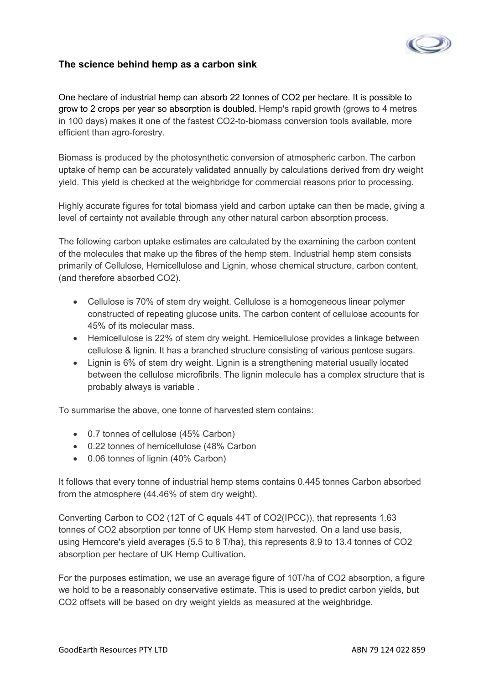

### **The science behind hemp as a carbon sink**

One hectare of industrial hemp can absorb 22 tonnes of CO2 per hectare. It is possible to grow to 2 crops per year so absorption is doubled. Hemp's rapid growth (grows to 4 metres in 100 days) makes it one of the fastest CO2-to-biomass conversion tools available, more efficient than agro-forestry.

Biomass is produced by the photosynthetic conversion of atmospheric carbon. The carbon uptake of hemp can be accurately validated annually by calculations derived from dry weight yield. This yield is checked at the weighbridge for commercial reasons prior to processing.

Highly accurate figures for total biomass yield and carbon uptake can then be made, giving a level of certainty not available through any other natural carbon absorption process.

The following carbon uptake estimates are calculated by the examining the carbon content of the molecules that make up the fibres of the hemp stem. Industrial hemp stem consists primarily of Cellulose, Hemicellulose and Lignin, whose chemical structure, carbon content, (and therefore absorbed CO2).

- Cellulose is 70% of stem dry weight. Cellulose is a homogeneous linear polymer constructed of repeating glucose units. The carbon content of cellulose accounts for 45% of its molecular mass.
- Hemicellulose is 22% of stem dry weight. Hemicellulose provides a linkage between cellulose & lignin. It has a branched structure consisting of various pentose sugars.
- Lignin is 6% of stem dry weight. Lignin is a strengthening material usually located between the cellulose microfibrils. The lignin molecule has a complex structure that is probably always is variable .

To summarise the above, one tonne of harvested stem contains:

- 0.7 tonnes of cellulose (45% Carbon)
- 0.22 tonnes of hemicellulose (48% Carbon
- 0.06 tonnes of lignin (40% Carbon)

It follows that every tonne of industrial hemp stems contains 0.445 tonnes Carbon absorbed from the atmosphere (44.46% of stem dry weight).

Converting Carbon to CO2 (12T of C equals 44T of CO2(IPCC)), that represents 1.63 tonnes of CO2 absorption per tonne of UK Hemp stem harvested. On a land use basis, using Hemcore's yield averages (5.5 to 8 T/ha), this represents 8.9 to 13.4 tonnes of CO2 absorption per hectare of UK Hemp Cultivation.

For the purposes estimation, we use an average figure of 10T/ha of CO2 absorption, a figure we hold to be a reasonably conservative estimate. This is used to predict carbon yields, but CO2 offsets will be based on dry weight yields as measured at the weighbridge.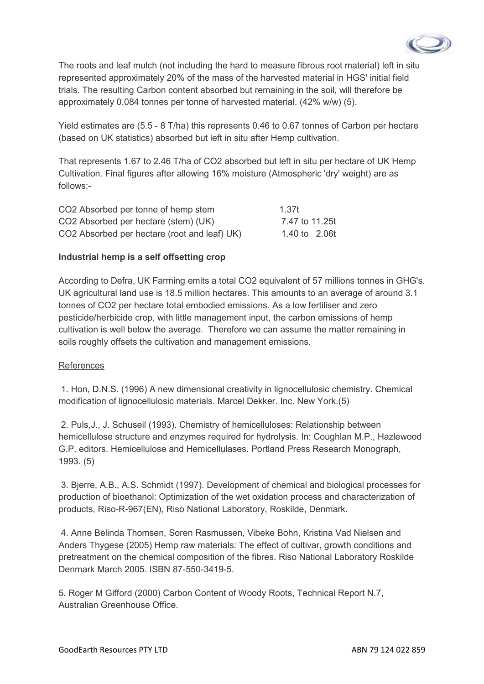

The roots and leaf mulch (not including the hard to measure fibrous root material) left in situ represented approximately 20% of the mass of the harvested material in HGS' initial field trials. The resulting Carbon content absorbed but remaining in the soil, will therefore be approximately 0.084 tonnes per tonne of harvested material. (42% w/w) (5).

Yield estimates are (5.5 - 8 T/ha) this represents 0.46 to 0.67 tonnes of Carbon per hectare (based on UK statistics) absorbed but left in situ after Hemp cultivation.

That represents 1.67 to 2.46 T/ha of CO2 absorbed but left in situ per hectare of UK Hemp Cultivation. Final figures after allowing 16% moisture (Atmospheric 'dry' weight) are as follows:-

| CO2 Absorbed per tonne of hemp stem          | 1.37t          |  |
|----------------------------------------------|----------------|--|
| CO2 Absorbed per hectare (stem) (UK)         | 7.47 to 11.25t |  |
| CO2 Absorbed per hectare (root and leaf) UK) | 1.40 to 2.06t  |  |

#### **Industrial hemp is a self offsetting crop**

According to Defra, UK Farming emits a total CO2 equivalent of 57 millions tonnes in GHG's. UK agricultural land use is 18.5 million hectares. This amounts to an average of around 3.1 tonnes of CO2 per hectare total embodied emissions. As a low fertiliser and zero pesticide/herbicide crop, with little management input, the carbon emissions of hemp cultivation is well below the average. Therefore we can assume the matter remaining in soils roughly offsets the cultivation and management emissions.

#### References

 1. Hon, D.N.S. (1996) A new dimensional creativity in lignocellulosic chemistry. Chemical modification of lignocellulosic materials. Marcel Dekker. Inc. New York.(5)

 2. Puls,J., J. Schuseil (1993). Chemistry of hemicelluloses: Relationship between hemicellulose structure and enzymes required for hydrolysis. In: Coughlan M.P., Hazlewood G.P. editors. Hemicellulose and Hemicellulases. Portland Press Research Monograph, 1993. (5)

 3. Bjerre, A.B., A.S. Schmidt (1997). Development of chemical and biological processes for production of bioethanol: Optimization of the wet oxidation process and characterization of products, Riso-R-967(EN), Riso National Laboratory, Roskilde, Denmark.

 4. Anne Belinda Thomsen, Soren Rasmussen, Vibeke Bohn, Kristina Vad Nielsen and Anders Thygese (2005) Hemp raw materials: The effect of cultivar, growth conditions and pretreatment on the chemical composition of the fibres. Riso National Laboratory Roskilde Denmark March 2005. ISBN 87-550-3419-5.

5. Roger M Gifford (2000) Carbon Content of Woody Roots, Technical Report N.7, Australian Greenhouse Office.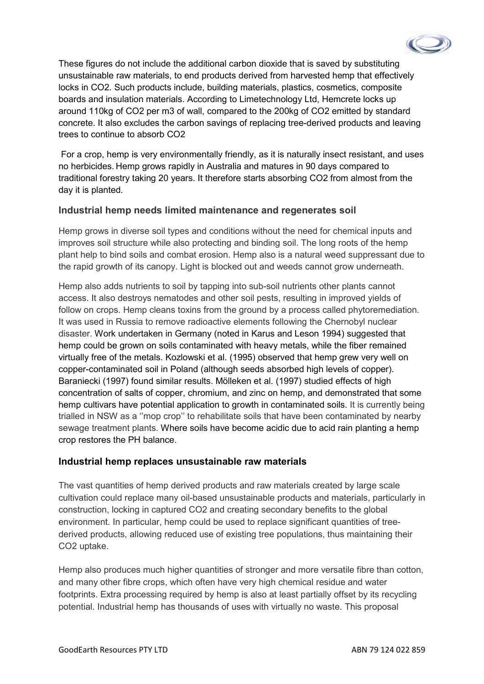

These figures do not include the additional carbon dioxide that is saved by substituting unsustainable raw materials, to end products derived from harvested hemp that effectively locks in CO2. Such products include, building materials, plastics, cosmetics, composite boards and insulation materials. According to Limetechnology Ltd, Hemcrete locks up around 110kg of CO2 per m3 of wall, compared to the 200kg of CO2 emitted by standard concrete. It also excludes the carbon savings of replacing tree-derived products and leaving trees to continue to absorb CO2

 For a crop, hemp is very environmentally friendly, as it is naturally insect resistant, and uses no herbicides. Hemp grows rapidly in Australia and matures in 90 days compared to traditional forestry taking 20 years. It therefore starts absorbing CO2 from almost from the day it is planted.

### **Industrial hemp needs limited maintenance and regenerates soil**

Hemp grows in diverse soil types and conditions without the need for chemical inputs and improves soil structure while also protecting and binding soil. The long roots of the hemp plant help to bind soils and combat erosion. Hemp also is a natural weed suppressant due to the rapid growth of its canopy. Light is blocked out and weeds cannot grow underneath.

Hemp also adds nutrients to soil by tapping into sub-soil nutrients other plants cannot access. It also destroys nematodes and other soil pests, resulting in improved yields of follow on crops. Hemp cleans toxins from the ground by a process called phytoremediation. It was used in Russia to remove radioactive elements following the Chernobyl nuclear disaster. Work undertaken in Germany (noted in Karus and Leson 1994) suggested that hemp could be grown on soils contaminated with heavy metals, while the fiber remained virtually free of the metals. Kozlowski et al. (1995) observed that hemp grew very well on copper-contaminated soil in Poland (although seeds absorbed high levels of copper). Baraniecki (1997) found similar results. Mölleken et al. (1997) studied effects of high concentration of salts of copper, chromium, and zinc on hemp, and demonstrated that some hemp cultivars have potential application to growth in contaminated soils. It is currently being trialled in NSW as a ''mop crop'' to rehabilitate soils that have been contaminated by nearby sewage treatment plants. Where soils have become acidic due to acid rain planting a hemp crop restores the PH balance.

#### **Industrial hemp replaces unsustainable raw materials**

The vast quantities of hemp derived products and raw materials created by large scale cultivation could replace many oil-based unsustainable products and materials, particularly in construction, locking in captured CO2 and creating secondary benefits to the global environment. In particular, hemp could be used to replace significant quantities of treederived products, allowing reduced use of existing tree populations, thus maintaining their CO2 uptake.

Hemp also produces much higher quantities of stronger and more versatile fibre than cotton, and many other fibre crops, which often have very high chemical residue and water footprints. Extra processing required by hemp is also at least partially offset by its recycling potential. Industrial hemp has thousands of uses with virtually no waste. This proposal